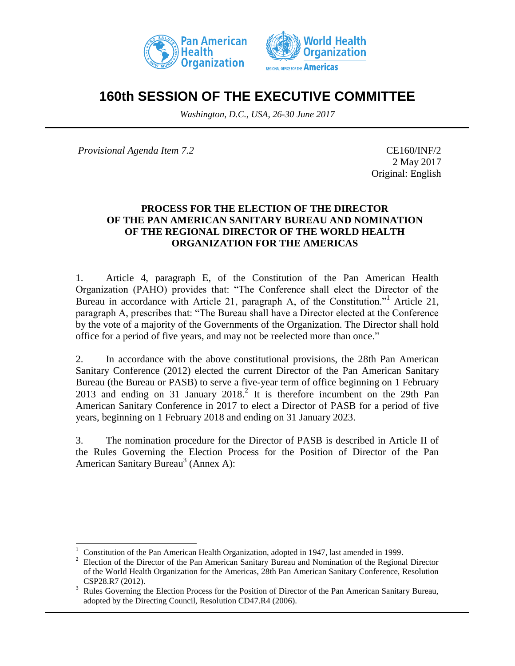



# **160th SESSION OF THE EXECUTIVE COMMITTEE**

*Washington, D.C., USA, 26-30 June 2017*

*Provisional Agenda Item 7.2* CE160/INF/2

 $\overline{a}$ 

2 May 2017 Original: English

### **PROCESS FOR THE ELECTION OF THE DIRECTOR OF THE PAN AMERICAN SANITARY BUREAU AND NOMINATION OF THE REGIONAL DIRECTOR OF THE WORLD HEALTH ORGANIZATION FOR THE AMERICAS**

1. Article 4, paragraph E, of the Constitution of the Pan American Health Organization (PAHO) provides that: "The Conference shall elect the Director of the Bureau in accordance with Article 21, paragraph A, of the Constitution.<sup>"1</sup> Article 21, paragraph A, prescribes that: "The Bureau shall have a Director elected at the Conference by the vote of a majority of the Governments of the Organization. The Director shall hold office for a period of five years, and may not be reelected more than once."

2. In accordance with the above constitutional provisions, the 28th Pan American Sanitary Conference (2012) elected the current Director of the Pan American Sanitary Bureau (the Bureau or PASB) to serve a five-year term of office beginning on 1 February 2013 and ending on 31 January 2018.<sup>2</sup> It is therefore incumbent on the 29th Pan American Sanitary Conference in 2017 to elect a Director of PASB for a period of five years, beginning on 1 February 2018 and ending on 31 January 2023.

3. The nomination procedure for the Director of PASB is described in Article II of the Rules Governing the Election Process for the Position of Director of the Pan American Sanitary Bureau<sup>3</sup> (Annex A):

<sup>1</sup> Constitution of the Pan American Health Organization, adopted in 1947, last amended in 1999.

<sup>2</sup> Election of the Director of the Pan American Sanitary Bureau and Nomination of the Regional Director of the World Health Organization for the Americas, 28th Pan American Sanitary Conference, Resolution CSP28.R7 (2012).

<sup>&</sup>lt;sup>3</sup> Rules Governing the Election Process for the Position of Director of the Pan American Sanitary Bureau, adopted by the Directing Council, Resolution CD47.R4 (2006).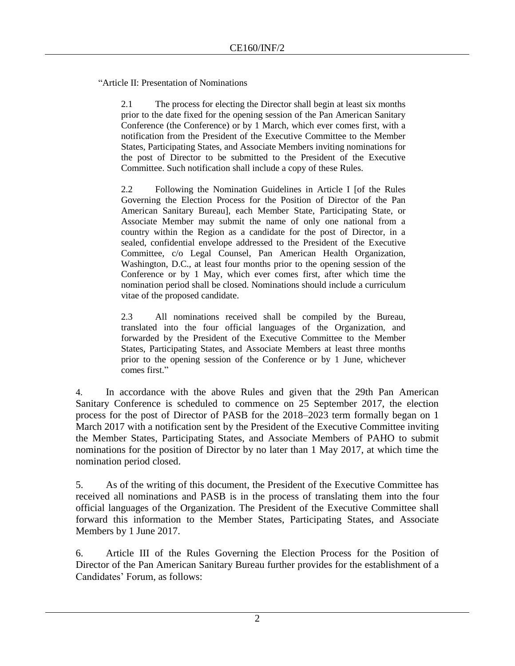"Article II: Presentation of Nominations

2.1 The process for electing the Director shall begin at least six months prior to the date fixed for the opening session of the Pan American Sanitary Conference (the Conference) or by 1 March, which ever comes first, with a notification from the President of the Executive Committee to the Member States, Participating States, and Associate Members inviting nominations for the post of Director to be submitted to the President of the Executive Committee. Such notification shall include a copy of these Rules.

2.2 Following the Nomination Guidelines in Article I [of the Rules Governing the Election Process for the Position of Director of the Pan American Sanitary Bureau], each Member State, Participating State, or Associate Member may submit the name of only one national from a country within the Region as a candidate for the post of Director, in a sealed, confidential envelope addressed to the President of the Executive Committee, c/o Legal Counsel, Pan American Health Organization, Washington, D.C., at least four months prior to the opening session of the Conference or by 1 May, which ever comes first, after which time the nomination period shall be closed. Nominations should include a curriculum vitae of the proposed candidate.

2.3 All nominations received shall be compiled by the Bureau, translated into the four official languages of the Organization, and forwarded by the President of the Executive Committee to the Member States, Participating States, and Associate Members at least three months prior to the opening session of the Conference or by 1 June, whichever comes first."

4. In accordance with the above Rules and given that the 29th Pan American Sanitary Conference is scheduled to commence on 25 September 2017, the election process for the post of Director of PASB for the 2018–2023 term formally began on 1 March 2017 with a notification sent by the President of the Executive Committee inviting the Member States, Participating States, and Associate Members of PAHO to submit nominations for the position of Director by no later than 1 May 2017, at which time the nomination period closed.

5. As of the writing of this document, the President of the Executive Committee has received all nominations and PASB is in the process of translating them into the four official languages of the Organization. The President of the Executive Committee shall forward this information to the Member States, Participating States, and Associate Members by 1 June 2017.

6. Article III of the Rules Governing the Election Process for the Position of Director of the Pan American Sanitary Bureau further provides for the establishment of a Candidates' Forum, as follows: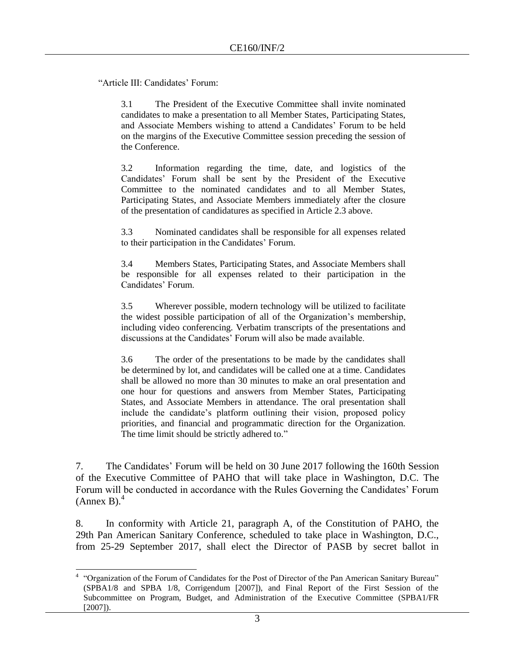"Article III: Candidates' Forum:

3.1 The President of the Executive Committee shall invite nominated candidates to make a presentation to all Member States, Participating States, and Associate Members wishing to attend a Candidates' Forum to be held on the margins of the Executive Committee session preceding the session of the Conference.

3.2 Information regarding the time, date, and logistics of the Candidates' Forum shall be sent by the President of the Executive Committee to the nominated candidates and to all Member States, Participating States, and Associate Members immediately after the closure of the presentation of candidatures as specified in Article 2.3 above.

3.3 Nominated candidates shall be responsible for all expenses related to their participation in the Candidates' Forum.

3.4 Members States, Participating States, and Associate Members shall be responsible for all expenses related to their participation in the Candidates' Forum.

3.5 Wherever possible, modern technology will be utilized to facilitate the widest possible participation of all of the Organization's membership, including video conferencing. Verbatim transcripts of the presentations and discussions at the Candidates' Forum will also be made available.

3.6 The order of the presentations to be made by the candidates shall be determined by lot, and candidates will be called one at a time. Candidates shall be allowed no more than 30 minutes to make an oral presentation and one hour for questions and answers from Member States, Participating States, and Associate Members in attendance. The oral presentation shall include the candidate's platform outlining their vision, proposed policy priorities, and financial and programmatic direction for the Organization. The time limit should be strictly adhered to."

7. The Candidates' Forum will be held on 30 June 2017 following the 160th Session of the Executive Committee of PAHO that will take place in Washington, D.C. The Forum will be conducted in accordance with the Rules Governing the Candidates' Forum  $(Annex B).<sup>4</sup>$ 

8. In conformity with Article 21, paragraph A, of the Constitution of PAHO, the 29th Pan American Sanitary Conference, scheduled to take place in Washington, D.C., from 25-29 September 2017, shall elect the Director of PASB by secret ballot in

 4 "Organization of the Forum of Candidates for the Post of Director of the Pan American Sanitary Bureau" (SPBA1/8 and SPBA 1/8, Corrigendum [2007]), and Final Report of the First Session of the Subcommittee on Program, Budget, and Administration of the Executive Committee (SPBA1/FR  $[2007]$ ).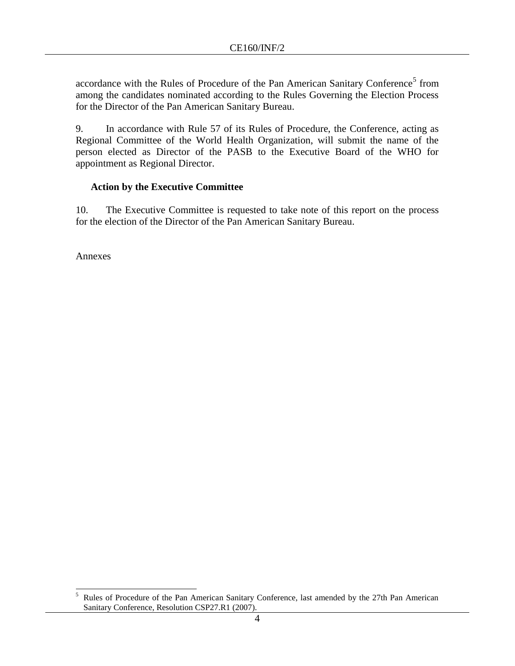accordance with the Rules of Procedure of the Pan American Sanitary Conference<sup>5</sup> from among the candidates nominated according to the Rules Governing the Election Process for the Director of the Pan American Sanitary Bureau.

9. In accordance with Rule 57 of its Rules of Procedure, the Conference, acting as Regional Committee of the World Health Organization, will submit the name of the person elected as Director of the PASB to the Executive Board of the WHO for appointment as Regional Director.

## **Action by the Executive Committee**

10. The Executive Committee is requested to take note of this report on the process for the election of the Director of the Pan American Sanitary Bureau.

Annexes

<sup>5</sup> <sup>5</sup> Rules of Procedure of the Pan American Sanitary Conference, last amended by the 27th Pan American Sanitary Conference, Resolution CSP27.R1 (2007).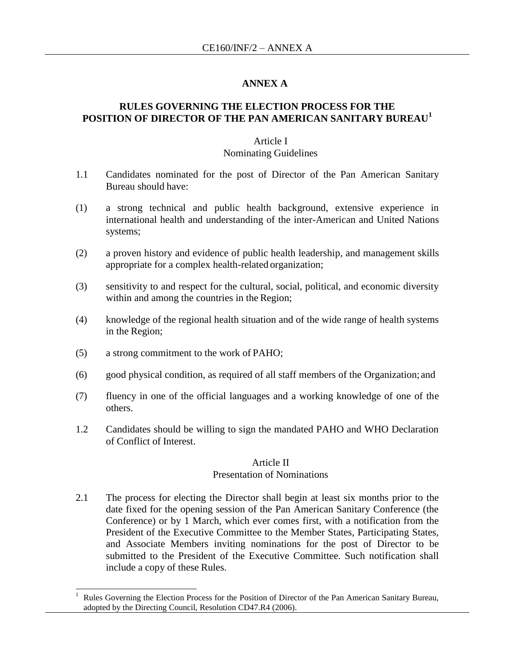### **ANNEX A**

### **RULES GOVERNING THE ELECTION PROCESS FOR THE POSITION OF DIRECTOR OF THE PAN AMERICAN SANITARY BUREAU<sup>1</sup>**

#### Article I Nominating Guidelines

- 1.1 Candidates nominated for the post of Director of the Pan American Sanitary Bureau should have:
- (1) a strong technical and public health background, extensive experience in international health and understanding of the inter-American and United Nations systems;
- (2) a proven history and evidence of public health leadership, and management skills appropriate for a complex health-related organization;
- (3) sensitivity to and respect for the cultural, social, political, and economic diversity within and among the countries in the Region;
- (4) knowledge of the regional health situation and of the wide range of health systems in the Region;
- (5) a strong commitment to the work of PAHO;

 $\overline{\phantom{a}}$ 

- (6) good physical condition, as required of all staff members of the Organization; and
- (7) fluency in one of the official languages and a working knowledge of one of the others.
- 1.2 Candidates should be willing to sign the mandated PAHO and WHO Declaration of Conflict of Interest.

#### Article II

#### Presentation of Nominations

2.1 The process for electing the Director shall begin at least six months prior to the date fixed for the opening session of the Pan American Sanitary Conference (the Conference) or by 1 March, which ever comes first, with a notification from the President of the Executive Committee to the Member States, Participating States, and Associate Members inviting nominations for the post of Director to be submitted to the President of the Executive Committee. Such notification shall include a copy of these Rules.

<sup>1</sup> Rules Governing the Election Process for the Position of Director of the Pan American Sanitary Bureau, adopted by the Directing Council, Resolution CD47.R4 (2006).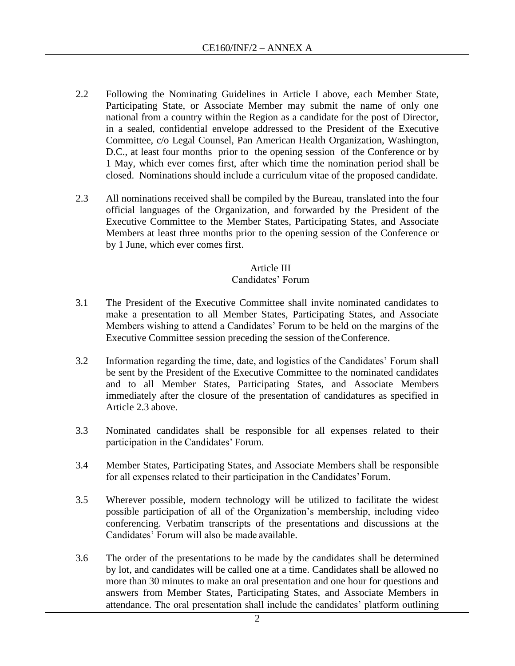- 2.2 Following the Nominating Guidelines in Article I above, each Member State, Participating State, or Associate Member may submit the name of only one national from a country within the Region as a candidate for the post of Director, in a sealed, confidential envelope addressed to the President of the Executive Committee, c/o Legal Counsel, Pan American Health Organization, Washington, D.C., at least four months prior to the opening session of the Conference or by 1 May, which ever comes first, after which time the nomination period shall be closed. Nominations should include a curriculum vitae of the proposed candidate.
- 2.3 All nominations received shall be compiled by the Bureau, translated into the four official languages of the Organization, and forwarded by the President of the Executive Committee to the Member States, Participating States, and Associate Members at least three months prior to the opening session of the Conference or by 1 June, which ever comes first.

### Article III

### Candidates' Forum

- 3.1 The President of the Executive Committee shall invite nominated candidates to make a presentation to all Member States, Participating States, and Associate Members wishing to attend a Candidates' Forum to be held on the margins of the Executive Committee session preceding the session of theConference.
- 3.2 Information regarding the time, date, and logistics of the Candidates' Forum shall be sent by the President of the Executive Committee to the nominated candidates and to all Member States, Participating States, and Associate Members immediately after the closure of the presentation of candidatures as specified in Article 2.3 above.
- 3.3 Nominated candidates shall be responsible for all expenses related to their participation in the Candidates' Forum.
- 3.4 Member States, Participating States, and Associate Members shall be responsible for all expenses related to their participation in the Candidates'Forum.
- 3.5 Wherever possible, modern technology will be utilized to facilitate the widest possible participation of all of the Organization's membership, including video conferencing. Verbatim transcripts of the presentations and discussions at the Candidates' Forum will also be made available.
- 3.6 The order of the presentations to be made by the candidates shall be determined by lot, and candidates will be called one at a time. Candidates shall be allowed no more than 30 minutes to make an oral presentation and one hour for questions and answers from Member States, Participating States, and Associate Members in attendance. The oral presentation shall include the candidates' platform outlining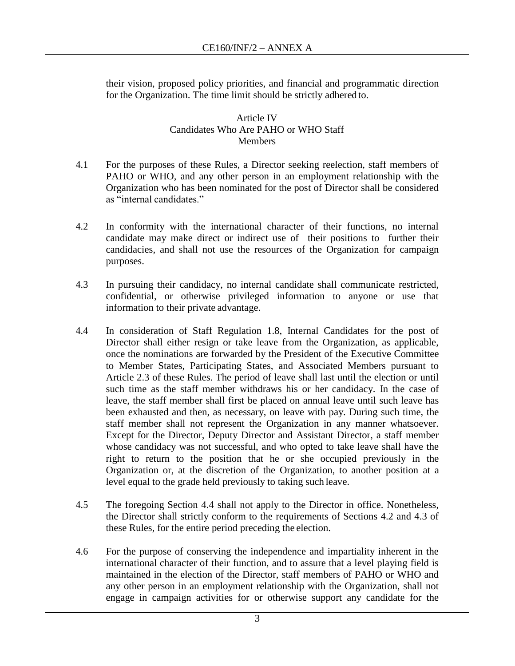their vision, proposed policy priorities, and financial and programmatic direction for the Organization. The time limit should be strictly adhered to.

#### Article IV Candidates Who Are PAHO or WHO Staff **Members**

- 4.1 For the purposes of these Rules, a Director seeking reelection, staff members of PAHO or WHO, and any other person in an employment relationship with the Organization who has been nominated for the post of Director shall be considered as "internal candidates."
- 4.2 In conformity with the international character of their functions, no internal candidate may make direct or indirect use of their positions to further their candidacies, and shall not use the resources of the Organization for campaign purposes.
- 4.3 In pursuing their candidacy, no internal candidate shall communicate restricted, confidential, or otherwise privileged information to anyone or use that information to their private advantage.
- 4.4 In consideration of Staff Regulation 1.8, Internal Candidates for the post of Director shall either resign or take leave from the Organization, as applicable, once the nominations are forwarded by the President of the Executive Committee to Member States, Participating States, and Associated Members pursuant to Article 2.3 of these Rules. The period of leave shall last until the election or until such time as the staff member withdraws his or her candidacy. In the case of leave, the staff member shall first be placed on annual leave until such leave has been exhausted and then, as necessary, on leave with pay. During such time, the staff member shall not represent the Organization in any manner whatsoever. Except for the Director, Deputy Director and Assistant Director, a staff member whose candidacy was not successful, and who opted to take leave shall have the right to return to the position that he or she occupied previously in the Organization or, at the discretion of the Organization, to another position at a level equal to the grade held previously to taking such leave.
- 4.5 The foregoing Section 4.4 shall not apply to the Director in office. Nonetheless, the Director shall strictly conform to the requirements of Sections 4.2 and 4.3 of these Rules, for the entire period preceding the election.
- 4.6 For the purpose of conserving the independence and impartiality inherent in the international character of their function, and to assure that a level playing field is maintained in the election of the Director, staff members of PAHO or WHO and any other person in an employment relationship with the Organization, shall not engage in campaign activities for or otherwise support any candidate for the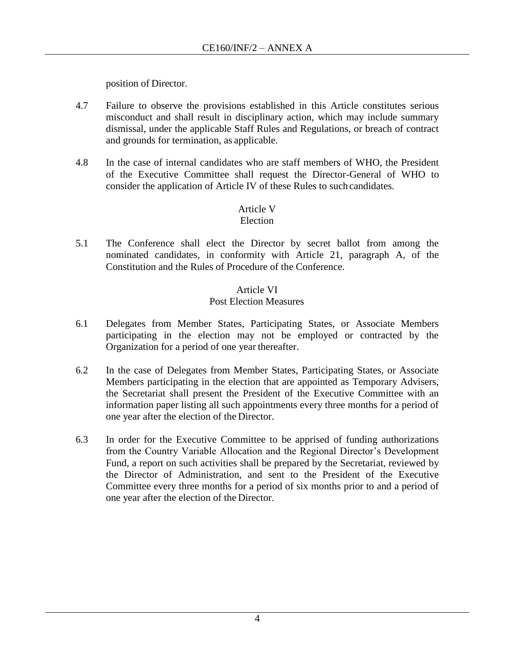position of Director.

- 4.7 Failure to observe the provisions established in this Article constitutes serious misconduct and shall result in disciplinary action, which may include summary dismissal, under the applicable Staff Rules and Regulations, or breach of contract and grounds for termination, as applicable.
- 4.8 In the case of internal candidates who are staff members of WHO, the President of the Executive Committee shall request the Director-General of WHO to consider the application of Article IV of these Rules to such candidates.

## Article V

## Election

5.1 The Conference shall elect the Director by secret ballot from among the nominated candidates, in conformity with Article 21, paragraph A, of the Constitution and the Rules of Procedure of the Conference.

#### Article VI Post Election Measures

- 6.1 Delegates from Member States, Participating States, or Associate Members participating in the election may not be employed or contracted by the Organization for a period of one year thereafter.
- 6.2 In the case of Delegates from Member States, Participating States, or Associate Members participating in the election that are appointed as Temporary Advisers, the Secretariat shall present the President of the Executive Committee with an information paper listing all such appointments every three months for a period of one year after the election of the Director.
- 6.3 In order for the Executive Committee to be apprised of funding authorizations from the Country Variable Allocation and the Regional Director's Development Fund, a report on such activities shall be prepared by the Secretariat, reviewed by the Director of Administration, and sent to the President of the Executive Committee every three months for a period of six months prior to and a period of one year after the election of the Director.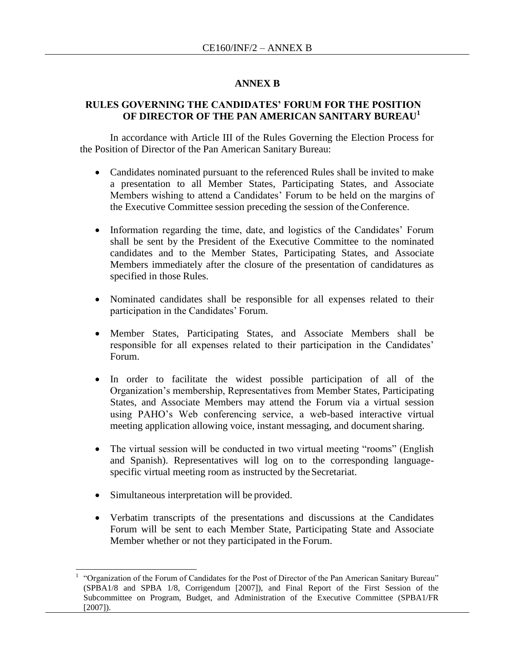#### **ANNEX B**

#### **RULES GOVERNING THE CANDIDATES' FORUM FOR THE POSITION OF DIRECTOR OF THE PAN AMERICAN SANITARY BUREAU<sup>17</sup>**

In accordance with Article III of the Rules Governing the Election Process for the Position of Director of the Pan American Sanitary Bureau:

- Candidates nominated pursuant to the referenced Rules shall be invited to make a presentation to all Member States, Participating States, and Associate Members wishing to attend a Candidates' Forum to be held on the margins of the Executive Committee session preceding the session of theConference.
- Information regarding the time, date, and logistics of the Candidates' Forum shall be sent by the President of the Executive Committee to the nominated candidates and to the Member States, Participating States, and Associate Members immediately after the closure of the presentation of candidatures as specified in those Rules.
- Nominated candidates shall be responsible for all expenses related to their participation in the Candidates' Forum.
- Member States, Participating States, and Associate Members shall be responsible for all expenses related to their participation in the Candidates' Forum.
- In order to facilitate the widest possible participation of all of the Organization's membership, Representatives from Member States, Participating States, and Associate Members may attend the Forum via a virtual session using PAHO's Web conferencing service, a web-based interactive virtual meeting application allowing voice, instant messaging, and documentsharing.
- The virtual session will be conducted in two virtual meeting "rooms" (English and Spanish). Representatives will log on to the corresponding languagespecific virtual meeting room as instructed by the Secretariat.
- Simultaneous interpretation will be provided.

 $\overline{\phantom{a}}$ 

 Verbatim transcripts of the presentations and discussions at the Candidates Forum will be sent to each Member State, Participating State and Associate Member whether or not they participated in the Forum.

<sup>1</sup> "Organization of the Forum of Candidates for the Post of Director of the Pan American Sanitary Bureau" (SPBA1/8 and SPBA 1/8, Corrigendum [2007]), and Final Report of the First Session of the Subcommittee on Program, Budget, and Administration of the Executive Committee (SPBA1/FR [2007]).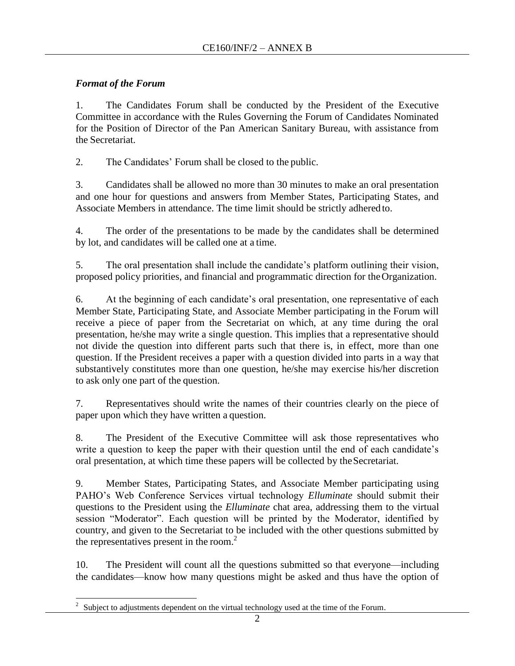## *Format of the Forum*

1. The Candidates Forum shall be conducted by the President of the Executive Committee in accordance with the Rules Governing the Forum of Candidates Nominated for the Position of Director of the Pan American Sanitary Bureau, with assistance from the Secretariat.

2. The Candidates' Forum shall be closed to the public.

3. Candidates shall be allowed no more than 30 minutes to make an oral presentation and one hour for questions and answers from Member States, Participating States, and Associate Members in attendance. The time limit should be strictly adhered to.

4. The order of the presentations to be made by the candidates shall be determined by lot, and candidates will be called one at a time.

5. The oral presentation shall include the candidate's platform outlining their vision, proposed policy priorities, and financial and programmatic direction for theOrganization.

6. At the beginning of each candidate's oral presentation, one representative of each Member State, Participating State, and Associate Member participating in the Forum will receive a piece of paper from the Secretariat on which, at any time during the oral presentation, he/she may write a single question. This implies that a representative should not divide the question into different parts such that there is, in effect, more than one question. If the President receives a paper with a question divided into parts in a way that substantively constitutes more than one question, he/she may exercise his/her discretion to ask only one part of the question.

7. Representatives should write the names of their countries clearly on the piece of paper upon which they have written a question.

8. The President of the Executive Committee will ask those representatives who write a question to keep the paper with their question until the end of each candidate's oral presentation, at which time these papers will be collected by theSecretariat.

9. Member States, Participating States, and Associate Member participating using PAHO's Web Conference Services virtual technology *Elluminate* should submit their questions to the President using the *Elluminate* chat area, addressing them to the virtual session "Moderator". Each question will be printed by the Moderator, identified by country, and given to the Secretariat to be included with the other questions submitted by the representatives present in the room. $2$ 

10. The President will count all the questions submitted so that everyone—including the candidates—know how many questions might be asked and thus have the option of

<sup>&</sup>lt;sup>2</sup> Subject to adjustments dependent on the virtual technology used at the time of the Forum.